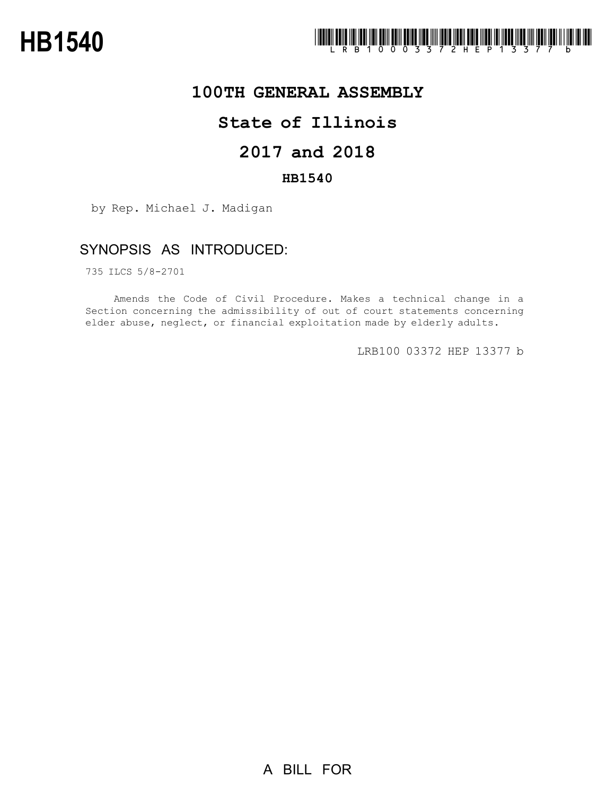

## **100TH GENERAL ASSEMBLY**

# **State of Illinois**

# **2017 and 2018**

### **HB1540**

by Rep. Michael J. Madigan

### SYNOPSIS AS INTRODUCED:

735 ILCS 5/8-2701

Amends the Code of Civil Procedure. Makes a technical change in a Section concerning the admissibility of out of court statements concerning elder abuse, neglect, or financial exploitation made by elderly adults.

LRB100 03372 HEP 13377 b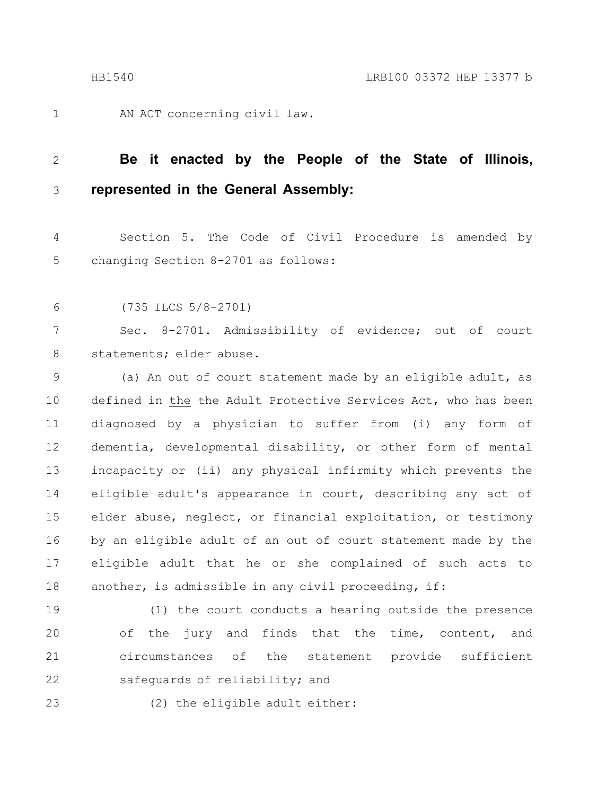1

AN ACT concerning civil law.

#### **Be it enacted by the People of the State of Illinois, represented in the General Assembly:** 2 3

Section 5. The Code of Civil Procedure is amended by changing Section 8-2701 as follows: 4 5

(735 ILCS 5/8-2701) 6

Sec. 8-2701. Admissibility of evidence; out of court statements; elder abuse. 7 8

(a) An out of court statement made by an eligible adult, as defined in the the Adult Protective Services Act, who has been diagnosed by a physician to suffer from (i) any form of dementia, developmental disability, or other form of mental incapacity or (ii) any physical infirmity which prevents the eligible adult's appearance in court, describing any act of elder abuse, neglect, or financial exploitation, or testimony by an eligible adult of an out of court statement made by the eligible adult that he or she complained of such acts to another, is admissible in any civil proceeding, if: 9 10 11 12 13 14 15 16 17 18

(1) the court conducts a hearing outside the presence of the jury and finds that the time, content, and circumstances of the statement provide sufficient safequards of reliability; and 19 20 21 22

23

(2) the eligible adult either: